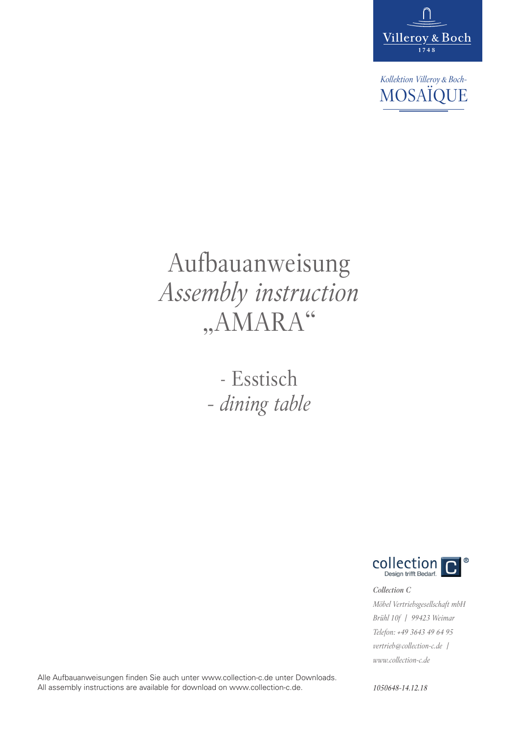

*Kollektion Villeroy&Boch-*MOSAÏQUE

# Aufbauanweisung *Assembly instruction* "AMARA"

- Esstisch *- dining table*



*Collection C Möbel Vertriebsgesellschaft mbH Brühl 10f | 99423 Weimar Telefon: +49 3643 49 64 95 vertrieb@collection-c.de | www.collection-c.de*

Alle Aufbauanweisungen finden Sie auch unter www.collection-c.de unter Downloads. All assembly instructions are available for download on www.collection-c.de.

*1050648-14.12.18*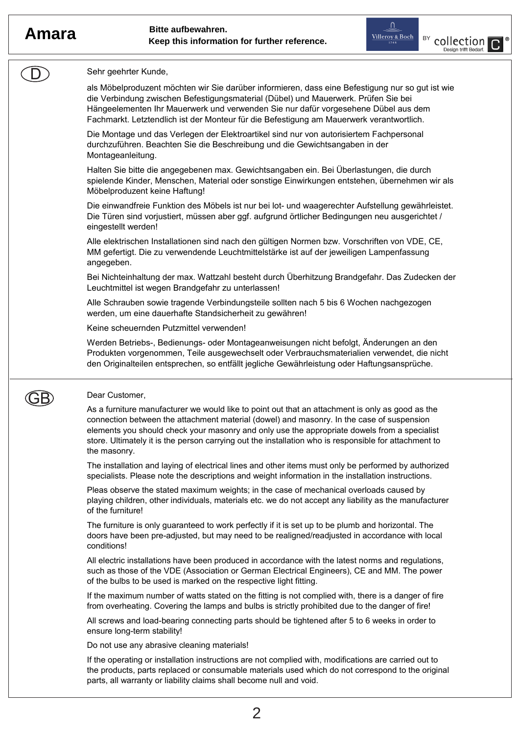$\left( \right)$ 





### Sehr geehrter Kunde,

als Möbelproduzent möchten wir Sie darüber informieren, dass eine Befestigung nur so gut ist wie die Verbindung zwischen Befestigungsmaterial (Dübel) und Mauerwerk. Prüfen Sie bei Hängeelementen Ihr Mauerwerk und verwenden Sie nur dafür vorgesehene Dübel aus dem Fachmarkt. Letztendlich ist der Monteur für die Befestigung am Mauerwerk verantwortlich.

Die Montage und das Verlegen der Elektroartikel sind nur von autorisiertem Fachpersonal durchzuführen. Beachten Sie die Beschreibung und die Gewichtsangaben in der Montageanleitung.

Halten Sie bitte die angegebenen max. Gewichtsangaben ein. Bei Überlastungen, die durch spielende Kinder, Menschen, Material oder sonstige Einwirkungen entstehen, übernehmen wir als Möbelproduzent keine Haftung!

Die einwandfreie Funktion des Möbels ist nur bei lot- und waagerechter Aufstellung gewährleistet. Die Türen sind vorjustiert, müssen aber ggf. aufgrund örtlicher Bedingungen neu ausgerichtet / eingestellt werden!

Alle elektrischen Installationen sind nach den gültigen Normen bzw. Vorschriften von VDE, CE, MM gefertigt. Die zu verwendende Leuchtmittelstärke ist auf der jeweiligen Lampenfassung angegeben.

Bei Nichteinhaltung der max. Wattzahl besteht durch Überhitzung Brandgefahr. Das Zudecken der Leuchtmittel ist wegen Brandgefahr zu unterlassen!

Alle Schrauben sowie tragende Verbindungsteile sollten nach 5 bis 6 Wochen nachgezogen werden, um eine dauerhafte Standsicherheit zu gewähren!

Keine scheuernden Putzmittel verwenden!

Werden Betriebs-, Bedienungs- oder Montageanweisungen nicht befolgt, Änderungen an den Produkten vorgenommen, Teile ausgewechselt oder Verbrauchsmaterialien verwendet, die nicht den Originalteilen entsprechen, so entfällt jegliche Gewährleistung oder Haftungsansprüche.



### Dear Customer,

As a furniture manufacturer we would like to point out that an attachment is only as good as the connection between the attachment material (dowel) and masonry. In the case of suspension elements you should check your masonry and only use the appropriate dowels from a specialist store. Ultimately it is the person carrying out the installation who is responsible for attachment to the masonry.

The installation and laying of electrical lines and other items must only be performed by authorized specialists. Please note the descriptions and weight information in the installation instructions.

Pleas observe the stated maximum weights; in the case of mechanical overloads caused by playing children, other individuals, materials etc. we do not accept any liability as the manufacturer of the furniture!

The furniture is only guaranteed to work perfectly if it is set up to be plumb and horizontal. The doors have been pre-adjusted, but may need to be realigned/readjusted in accordance with local conditions!

All electric installations have been produced in accordance with the latest norms and regulations, such as those of the VDE (Association or German Electrical Engineers), CE and MM. The power of the bulbs to be used is marked on the respective light fitting.

If the maximum number of watts stated on the fitting is not complied with, there is a danger of fire from overheating. Covering the lamps and bulbs is strictly prohibited due to the danger of fire!

All screws and load-bearing connecting parts should be tightened after 5 to 6 weeks in order to ensure long-term stability!

Do not use any abrasive cleaning materials!

If the operating or installation instructions are not complied with, modifications are carried out to the products, parts replaced or consumable materials used which do not correspond to the original parts, all warranty or liability claims shall become null and void.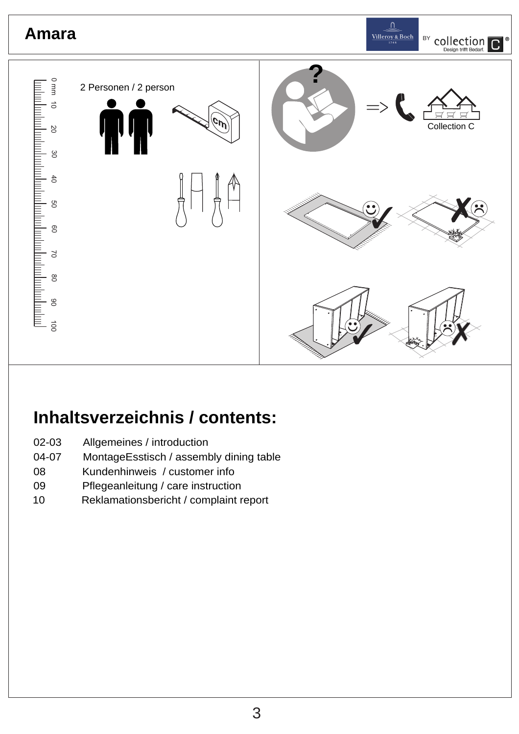

# **Inhaltsverzeichnis / contents:**

- 02-03 Allgemeines / introduction
- 04-07 MontageEsstisch / assembly dining table
- 08 Kundenhinweis / customer info
- 09 Pflegeanleitung / care instruction
- 10 Reklamationsbericht / complaint report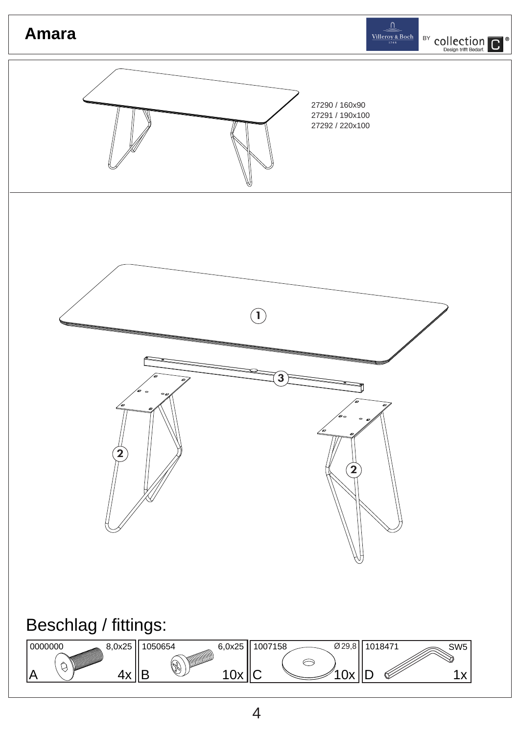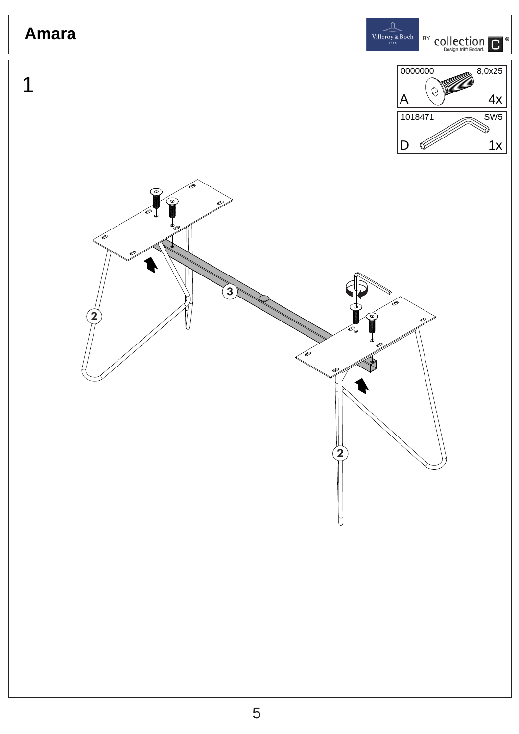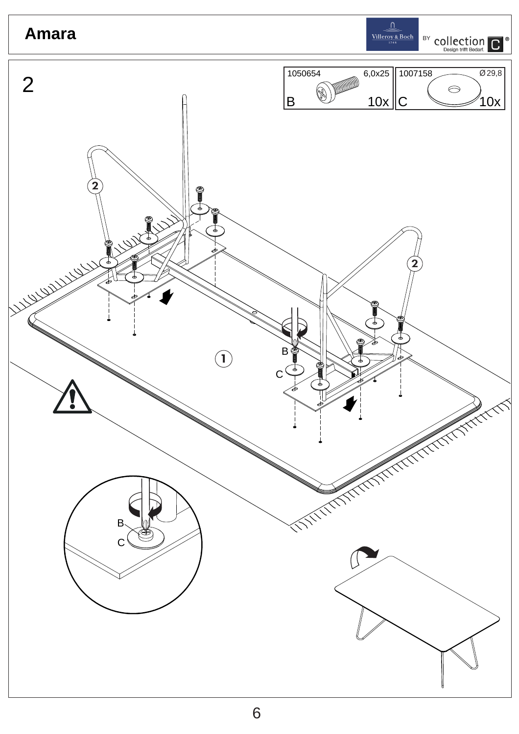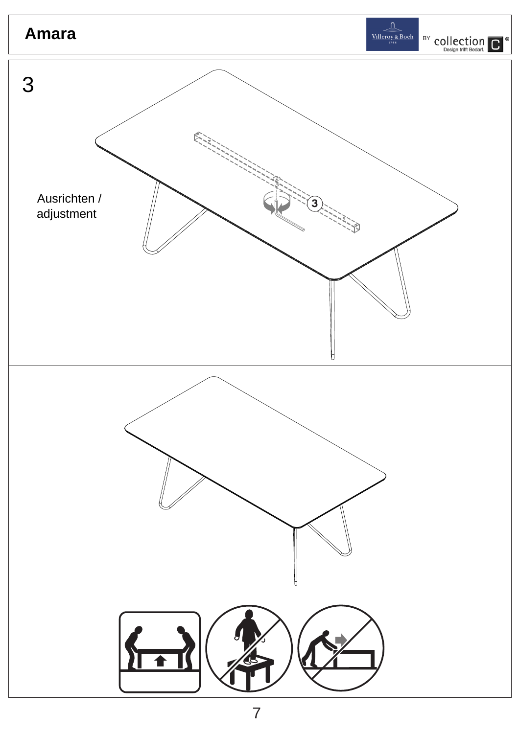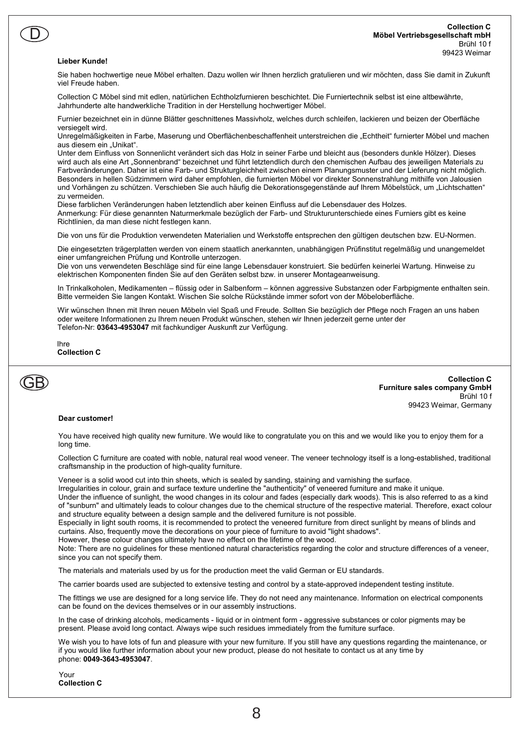### Collection C Möbel Vertriebsgesellschaft mbH Brühl 10 f 99423 Weimar

### Lieber Kunde!

 $\overline{\mathsf{D}}$ 

Sie haben hochwertige neue Möbel erhalten. Dazu wollen wir Ihnen herzlich gratulieren und wir möchten, dass Sie damit in Zukunft viel Freude haben.

Collection C Möbel sind mit edlen, natürlichen Echtholzfurnieren beschichtet. Die Furniertechnik selbst ist eine altbewährte, Jahrhunderte alte handwerkliche Tradition in der Herstellung hochwertiger Möbel.

Furnier bezeichnet ein in dünne Blätter geschnittenes Massivholz, welches durch schleifen, lackieren und beizen der Oberfläche versiegelt wird.

Unregelmäßigkeiten in Farbe, Maserung und Oberflächenbeschaffenheit unterstreichen die "Echtheit" furnierter Möbel und machen aus diesem ein "Unikat".

Unter dem Einfluss von Sonnenlicht verändert sich das Holz in seiner Farbe und bleicht aus (besonders dunkle Hölzer). Dieses wird auch als eine Art "Sonnenbrand" bezeichnet und führt letztendlich durch den chemischen Aufbau des jeweiligen Materials zu Farbveränderungen. Daher ist eine Farb- und Strukturgleichheit zwischen einem Planungsmuster und der Lieferung nicht möglich. Besonders in hellen Südzimmern wird daher empfohlen, die furnierten Möbel vor direkter Sonnenstrahlung mithilfe von Jalousien und Vorhängen zu schützen. Verschieben Sie auch häufig die Dekorationsgegenstände auf Ihrem Möbelstück, um "Lichtschatten" zu vermeiden.

Diese farblichen Veränderungen haben letztendlich aber keinen Einfluss auf die Lebensdauer des Holzes. Anmerkung: Für diese genannten Naturmerkmale bezüglich der Farb- und Strukturunterschiede eines Furniers gibt es keine Richtlinien, da man diese nicht festlegen kann.

Die von uns für die Produktion verwendeten Materialien und Werkstoffe entsprechen den gültigen deutschen bzw. EU-Normen.

Die eingesetzten trägerplatten werden von einem staatlich anerkannten, unabhängigen Prüfinstitut regelmäßig und unangemeldet einer umfangreichen Prüfung und Kontrolle unterzogen.

Die von uns verwendeten Beschläge sind für eine lange Lebensdauer konstruiert. Sie bedürfen keinerlei Wartung. Hinweise zu elektrischen Komponenten finden Sie auf den Geräten selbst bzw. in unserer Montageanweisung.

In Trinkalkoholen, Medikamenten – flüssig oder in Salbenform – können aggressive Substanzen oder Farbpigmente enthalten sein. Bitte vermeiden Sie langen Kontakt. Wischen Sie solche Rückstände immer sofort von der Möbeloberfläche.

Wir wünschen Ihnen mit Ihren neuen Möbeln viel Spaß und Freude. Sollten Sie bezüglich der Pflege noch Fragen an uns haben oder weitere Informationen zu Ihrem neuen Produkt wünschen, stehen wir Ihnen jederzeit gerne unter der Telefon-Nr: 03643-4953047 mit fachkundiger Auskunft zur Verfügung.

Ihre Collection C



Collection C Furniture sales company GmbH Brühl 10 f 99423 Weimar, Germany

### Dear customer!

You have received high quality new furniture. We would like to congratulate you on this and we would like you to enjoy them for a long time.

Collection C furniture are coated with noble, natural real wood veneer. The veneer technology itself is a long-established, traditional craftsmanship in the production of high-quality furniture.

Veneer is a solid wood cut into thin sheets, which is sealed by sanding, staining and varnishing the surface.

Irregularities in colour, grain and surface texture underline the "authenticity" of veneered furniture and make it unique.

Under the influence of sunlight, the wood changes in its colour and fades (especially dark woods). This is also referred to as a kind of "sunburn" and ultimately leads to colour changes due to the chemical structure of the respective material. Therefore, exact colour and structure equality between a design sample and the delivered furniture is not possible.

Especially in light south rooms, it is recommended to protect the veneered furniture from direct sunlight by means of blinds and curtains. Also, frequently move the decorations on your piece of furniture to avoid "light shadows".

However, these colour changes ultimately have no effect on the lifetime of the wood.

Note: There are no guidelines for these mentioned natural characteristics regarding the color and structure differences of a veneer, since you can not specify them.

The materials and materials used by us for the production meet the valid German or EU standards.

The carrier boards used are subjected to extensive testing and control by a state-approved independent testing institute.

The fittings we use are designed for a long service life. They do not need any maintenance. Information on electrical components can be found on the devices themselves or in our assembly instructions.

In the case of drinking alcohols, medicaments - liquid or in ointment form - aggressive substances or color pigments may be present. Please avoid long contact. Always wipe such residues immediately from the furniture surface.

We wish you to have lots of fun and pleasure with your new furniture. If you still have any questions regarding the maintenance, or if you would like further information about your new product, please do not hesitate to contact us at any time by phone: 0049-3643-4953047.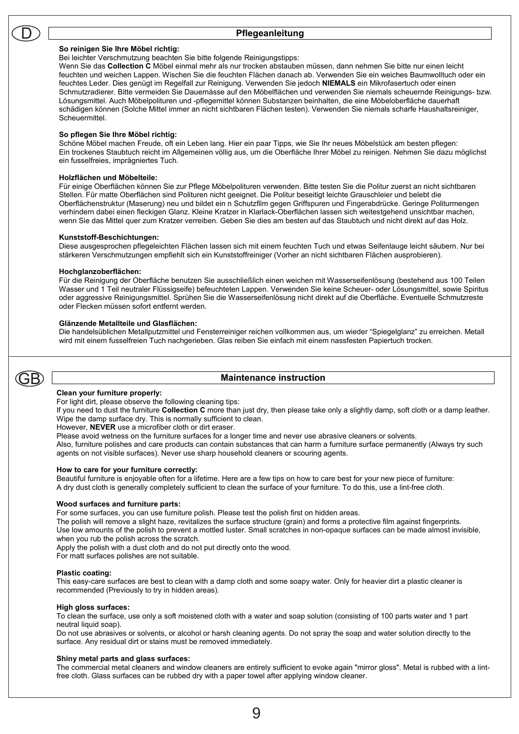### Pflegeanleitung

#### So reinigen Sie Ihre Möbel richtig:

Bei leichter Verschmutzung beachten Sie bitte folgende Reinigungstipps:

Wenn Sie das Collection C Möbel einmal mehr als nur trocken abstauben müssen, dann nehmen Sie bitte nur einen leicht feuchten und weichen Lappen. Wischen Sie die feuchten Flächen danach ab. Verwenden Sie ein weiches Baumwolltuch oder ein feuchtes Leder. Dies genügt im Regelfall zur Reinigung. Verwenden Sie jedoch NIEMALS ein Mikrofasertuch oder einen Schmutzradierer. Bitte vermeiden Sie Dauernässe auf den Möbelflächen und verwenden Sie niemals scheuernde Reinigungs- bzw. Lösungsmittel. Auch Möbelpolituren und -pflegemittel können Substanzen beinhalten, die eine Möbeloberfläche dauerhaft schädigen können (Solche Mittel immer an nicht sichtbaren Flächen testen). Verwenden Sie niemals scharfe Haushaltsreiniger, Scheuermittel.

### So pflegen Sie Ihre Möbel richtig:

Schöne Möbel machen Freude, oft ein Leben lang. Hier ein paar Tipps, wie Sie Ihr neues Möbelstück am besten pflegen: Ein trockenes Staubtuch reicht im Allgemeinen völlig aus, um die Oberfläche Ihrer Möbel zu reinigen. Nehmen Sie dazu möglichst ein fusselfreies, imprägniertes Tuch.

#### Holzflächen und Möbelteile:

Für einige Oberflächen können Sie zur Pflege Möbelpolituren verwenden. Bitte testen Sie die Politur zuerst an nicht sichtbaren Stellen. Für matte Oberflächen sind Polituren nicht geeignet. Die Politur beseitigt leichte Grauschleier und belebt die Oberflächenstruktur (Maserung) neu und bildet ein n Schutzfilm gegen Griffspuren und Fingerabdrücke. Geringe Politurmengen verhindern dabei einen fleckigen Glanz. Kleine Kratzer in Klarlack-Oberflächen lassen sich weitestgehend unsichtbar machen, wenn Sie das Mittel quer zum Kratzer verreiben. Geben Sie dies am besten auf das Staubtuch und nicht direkt auf das Holz.

#### Kunststoff-Beschichtungen:

Diese ausgesprochen pflegeleichten Flächen lassen sich mit einem feuchten Tuch und etwas Seifenlauge leicht säubern. Nur bei stärkeren Verschmutzungen empfiehlt sich ein Kunststoffreiniger (Vorher an nicht sichtbaren Flächen ausprobieren).

### Hochglanzoberflächen:

Für die Reinigung der Oberfläche benutzen Sie ausschließlich einen weichen mit Wasserseifenlösung (bestehend aus 100 Teilen Wasser und 1 Teil neutraler Flüssigseife) befeuchteten Lappen. Verwenden Sie keine Scheuer- oder Lösungsmittel, sowie Spiritus oder aggressive Reinigungsmittel. Sprühen Sie die Wasserseifenlösung nicht direkt auf die Oberfläche. Eventuelle Schmutzreste oder Flecken müssen sofort entfernt werden.

### Glänzende Metallteile und Glasflächen:

Die handelsüblichen Metallputzmittel und Fensterreiniger reichen vollkommen aus, um wieder "Spiegelglanz" zu erreichen. Metall wird mit einem fusselfreien Tuch nachgerieben. Glas reiben Sie einfach mit einem nassfesten Papiertuch trocken.

# GB

### Maintenance instruction

### Clean your furniture properly:

For light dirt, please observe the following cleaning tips:

If you need to dust the furniture Collection C more than just dry, then please take only a slightly damp, soft cloth or a damp leather. Wipe the damp surface dry. This is normally sufficient to clean.

However, NEVER use a microfiber cloth or dirt eraser.

Please avoid wetness on the furniture surfaces for a longer time and never use abrasive cleaners or solvents.

Also, furniture polishes and care products can contain substances that can harm a furniture surface permanently (Always try such agents on not visible surfaces). Never use sharp household cleaners or scouring agents.

### How to care for your furniture correctly:

Beautiful furniture is enjoyable often for a lifetime. Here are a few tips on how to care best for your new piece of furniture: A dry dust cloth is generally completely sufficient to clean the surface of your furniture. To do this, use a lint-free cloth.

### Wood surfaces and furniture parts:

For some surfaces, you can use furniture polish. Please test the polish first on hidden areas.

The polish will remove a slight haze, revitalizes the surface structure (grain) and forms a protective film against fingerprints. Use low amounts of the polish to prevent a mottled luster. Small scratches in non-opaque surfaces can be made almost invisible, when you rub the polish across the scratch.

Apply the polish with a dust cloth and do not put directly onto the wood.

For matt surfaces polishes are not suitable.

### Plastic coating:

This easy-care surfaces are best to clean with a damp cloth and some soapy water. Only for heavier dirt a plastic cleaner is recommended (Previously to try in hidden areas).

### High gloss surfaces:

To clean the surface, use only a soft moistened cloth with a water and soap solution (consisting of 100 parts water and 1 part neutral liquid soap).

Do not use abrasives or solvents, or alcohol or harsh cleaning agents. Do not spray the soap and water solution directly to the surface. Any residual dirt or stains must be removed immediately.

### Shiny metal parts and glass surfaces:

The commercial metal cleaners and window cleaners are entirely sufficient to evoke again "mirror gloss". Metal is rubbed with a lintfree cloth. Glass surfaces can be rubbed dry with a paper towel after applying window cleaner.